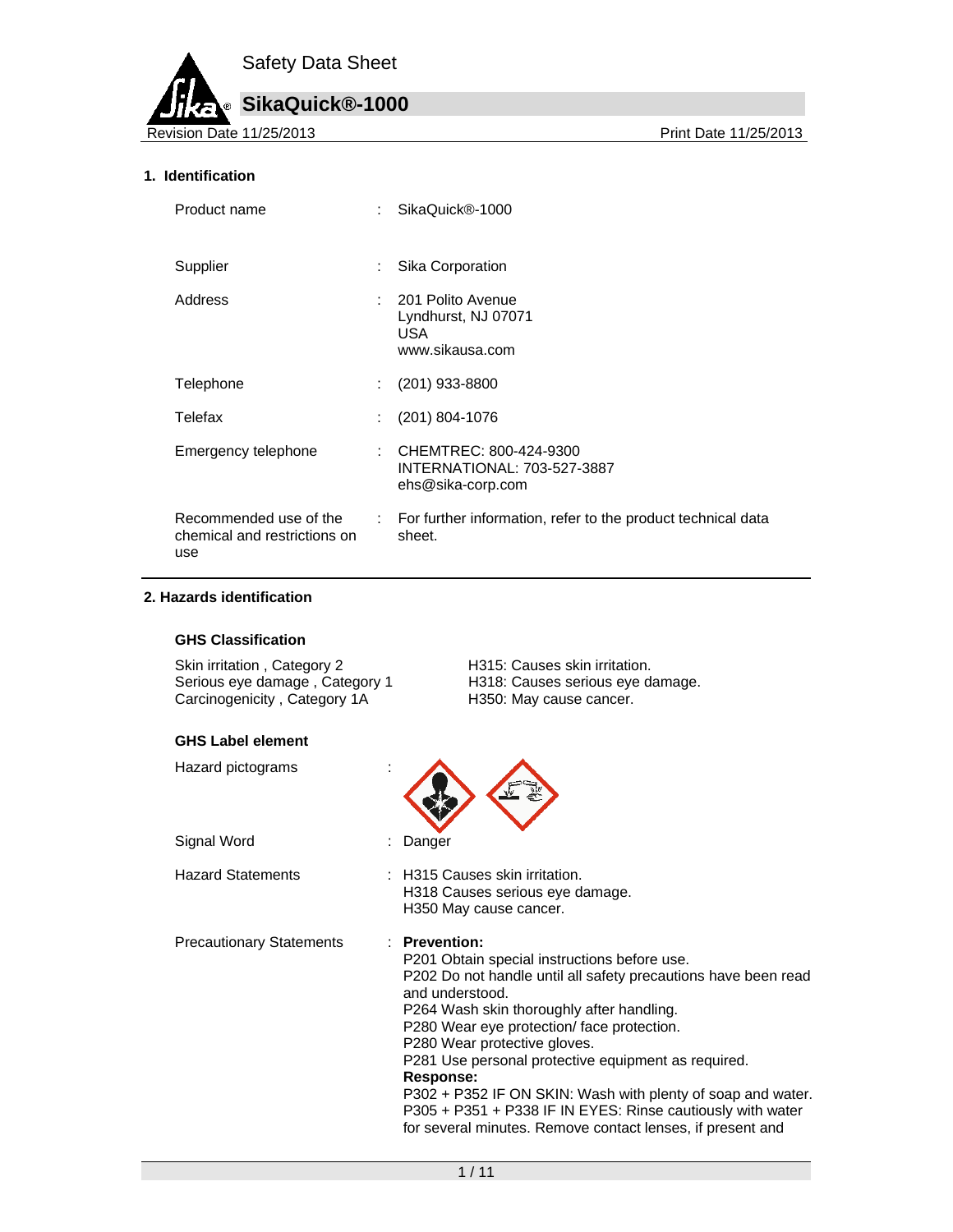

## **1. Identification**

| Product name                                                  | ÷  | SikaQuick®-1000                                                                     |
|---------------------------------------------------------------|----|-------------------------------------------------------------------------------------|
| Supplier                                                      | ÷  | Sika Corporation                                                                    |
| Address                                                       |    | : 201 Polito Avenue<br>Lyndhurst, NJ 07071<br>USA.<br>www.sikausa.com               |
| Telephone                                                     | ÷. | $(201)$ 933-8800                                                                    |
| Telefax                                                       | ÷. | $(201)$ 804-1076                                                                    |
| Emergency telephone                                           |    | : CHEMTREC: 800-424-9300<br><b>INTERNATIONAL: 703-527-3887</b><br>ehs@sika-corp.com |
| Recommended use of the<br>chemical and restrictions on<br>use |    | : For further information, refer to the product technical data<br>sheet.            |

#### **2. Hazards identification**

#### **GHS Classification**

| Skin irritation , Category 2   | H315: Causes skin irritation.    |
|--------------------------------|----------------------------------|
| Serious eye damage, Category 1 | H318: Causes serious eye damage. |
| Carcinogenicity, Category 1A   | H350: May cause cancer.          |
|                                |                                  |

#### **GHS Label element**

| Hazard pictograms               |                                                                                                                                                                                                                                                                                                                                                                                                                                                                                                                                                      |
|---------------------------------|------------------------------------------------------------------------------------------------------------------------------------------------------------------------------------------------------------------------------------------------------------------------------------------------------------------------------------------------------------------------------------------------------------------------------------------------------------------------------------------------------------------------------------------------------|
| Signal Word                     | Danger                                                                                                                                                                                                                                                                                                                                                                                                                                                                                                                                               |
| <b>Hazard Statements</b>        | : H315 Causes skin irritation.<br>H318 Causes serious eye damage.<br>H350 May cause cancer.                                                                                                                                                                                                                                                                                                                                                                                                                                                          |
| <b>Precautionary Statements</b> | $:$ Prevention:<br>P201 Obtain special instructions before use.<br>P202 Do not handle until all safety precautions have been read<br>and understood.<br>P264 Wash skin thoroughly after handling.<br>P280 Wear eye protection/face protection.<br>P280 Wear protective gloves.<br>P281 Use personal protective equipment as required.<br><b>Response:</b><br>P302 + P352 IF ON SKIN: Wash with plenty of soap and water.<br>P305 + P351 + P338 IF IN EYES: Rinse cautiously with water<br>for several minutes. Remove contact lenses, if present and |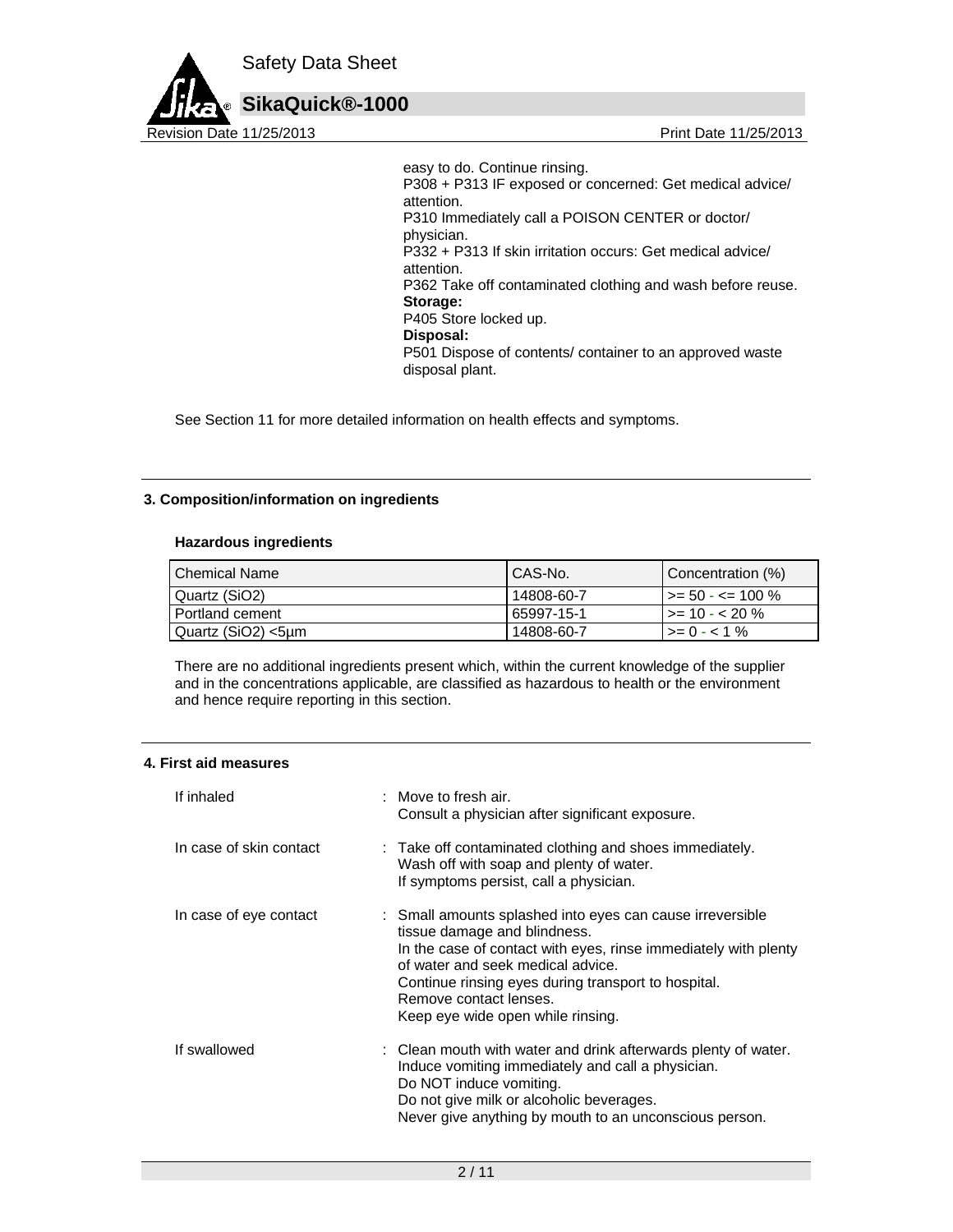

easy to do. Continue rinsing. P308 + P313 IF exposed or concerned: Get medical advice/ attention. P310 Immediately call a POISON CENTER or doctor/ physician. P332 + P313 If skin irritation occurs: Get medical advice/ attention. P362 Take off contaminated clothing and wash before reuse. **Storage:**  P405 Store locked up. **Disposal:**  P501 Dispose of contents/ container to an approved waste disposal plant.

See Section 11 for more detailed information on health effects and symptoms.

#### **3. Composition/information on ingredients**

#### **Hazardous ingredients**

| l Chemical Name    | CAS-No.    | Concentration (%)           |
|--------------------|------------|-----------------------------|
| Quartz (SiO2)      | 14808-60-7 | $1 > = 50 - \le 100 \%$     |
| I Portland cement  | 65997-15-1 | $\rightarrow$ = 10 - < 20 % |
| Quartz (SiO2) <5µm | 14808-60-7 | $\rightarrow$ = 0 - < 1 %   |

There are no additional ingredients present which, within the current knowledge of the supplier and in the concentrations applicable, are classified as hazardous to health or the environment and hence require reporting in this section.

#### **4. First aid measures**

| If inhaled              | : Move to fresh air.<br>Consult a physician after significant exposure.                                                                                                                                                                                                                                                 |
|-------------------------|-------------------------------------------------------------------------------------------------------------------------------------------------------------------------------------------------------------------------------------------------------------------------------------------------------------------------|
| In case of skin contact | : Take off contaminated clothing and shoes immediately.<br>Wash off with soap and plenty of water.<br>If symptoms persist, call a physician.                                                                                                                                                                            |
| In case of eye contact  | : Small amounts splashed into eyes can cause irreversible<br>tissue damage and blindness.<br>In the case of contact with eyes, rinse immediately with plenty<br>of water and seek medical advice.<br>Continue rinsing eyes during transport to hospital.<br>Remove contact lenses.<br>Keep eye wide open while rinsing. |
| If swallowed            | : Clean mouth with water and drink afterwards plenty of water.<br>Induce vomiting immediately and call a physician.<br>Do NOT induce vomiting.<br>Do not give milk or alcoholic beverages.<br>Never give anything by mouth to an unconscious person.                                                                    |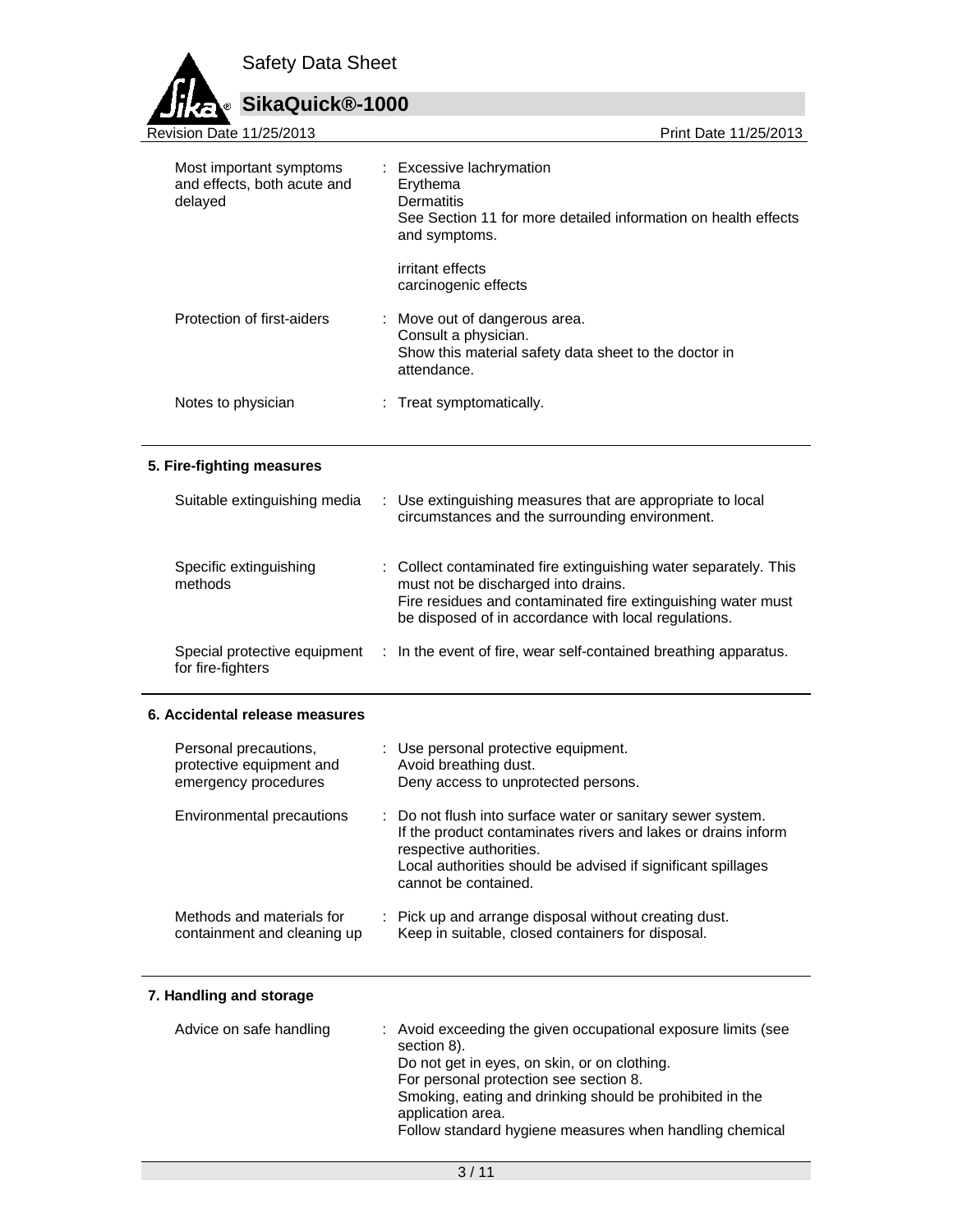

| Revision Date 11/25/2013                                          | Print Date 11/25/2013                                                                                                                 |
|-------------------------------------------------------------------|---------------------------------------------------------------------------------------------------------------------------------------|
| Most important symptoms<br>and effects, both acute and<br>delayed | : Excessive lachrymation<br>Erythema<br>Dermatitis<br>See Section 11 for more detailed information on health effects<br>and symptoms. |
|                                                                   | irritant effects<br>carcinogenic effects                                                                                              |
| Protection of first-aiders                                        | : Move out of dangerous area.<br>Consult a physician.<br>Show this material safety data sheet to the doctor in<br>attendance.         |
| Notes to physician                                                | : Treat symptomatically.                                                                                                              |

# **5. Fire-fighting measures**

| Suitable extinguishing media                      | : Use extinguishing measures that are appropriate to local<br>circumstances and the surrounding environment.                                                                                                                    |
|---------------------------------------------------|---------------------------------------------------------------------------------------------------------------------------------------------------------------------------------------------------------------------------------|
| Specific extinguishing<br>methods                 | : Collect contaminated fire extinguishing water separately. This<br>must not be discharged into drains.<br>Fire residues and contaminated fire extinguishing water must<br>be disposed of in accordance with local regulations. |
| Special protective equipment<br>for fire-fighters | : In the event of fire, wear self-contained breathing apparatus.                                                                                                                                                                |

## **6. Accidental release measures**

| Personal precautions,       | : Use personal protective equipment.                                                                                                                                                                                                            |
|-----------------------------|-------------------------------------------------------------------------------------------------------------------------------------------------------------------------------------------------------------------------------------------------|
| protective equipment and    | Avoid breathing dust.                                                                                                                                                                                                                           |
| emergency procedures        | Deny access to unprotected persons.                                                                                                                                                                                                             |
| Environmental precautions   | : Do not flush into surface water or sanitary sewer system.<br>If the product contaminates rivers and lakes or drains inform<br>respective authorities.<br>Local authorities should be advised if significant spillages<br>cannot be contained. |
| Methods and materials for   | : Pick up and arrange disposal without creating dust.                                                                                                                                                                                           |
| containment and cleaning up | Keep in suitable, closed containers for disposal.                                                                                                                                                                                               |

# **7. Handling and storage**

| Do not get in eyes, on skin, or on clothing.<br>For personal protection see section 8.<br>Smoking, eating and drinking should be prohibited in the<br>application area. | Advice on safe handling | : Avoid exceeding the given occupational exposure limits (see<br>section 8).<br>Follow standard hygiene measures when handling chemical |
|-------------------------------------------------------------------------------------------------------------------------------------------------------------------------|-------------------------|-----------------------------------------------------------------------------------------------------------------------------------------|
|-------------------------------------------------------------------------------------------------------------------------------------------------------------------------|-------------------------|-----------------------------------------------------------------------------------------------------------------------------------------|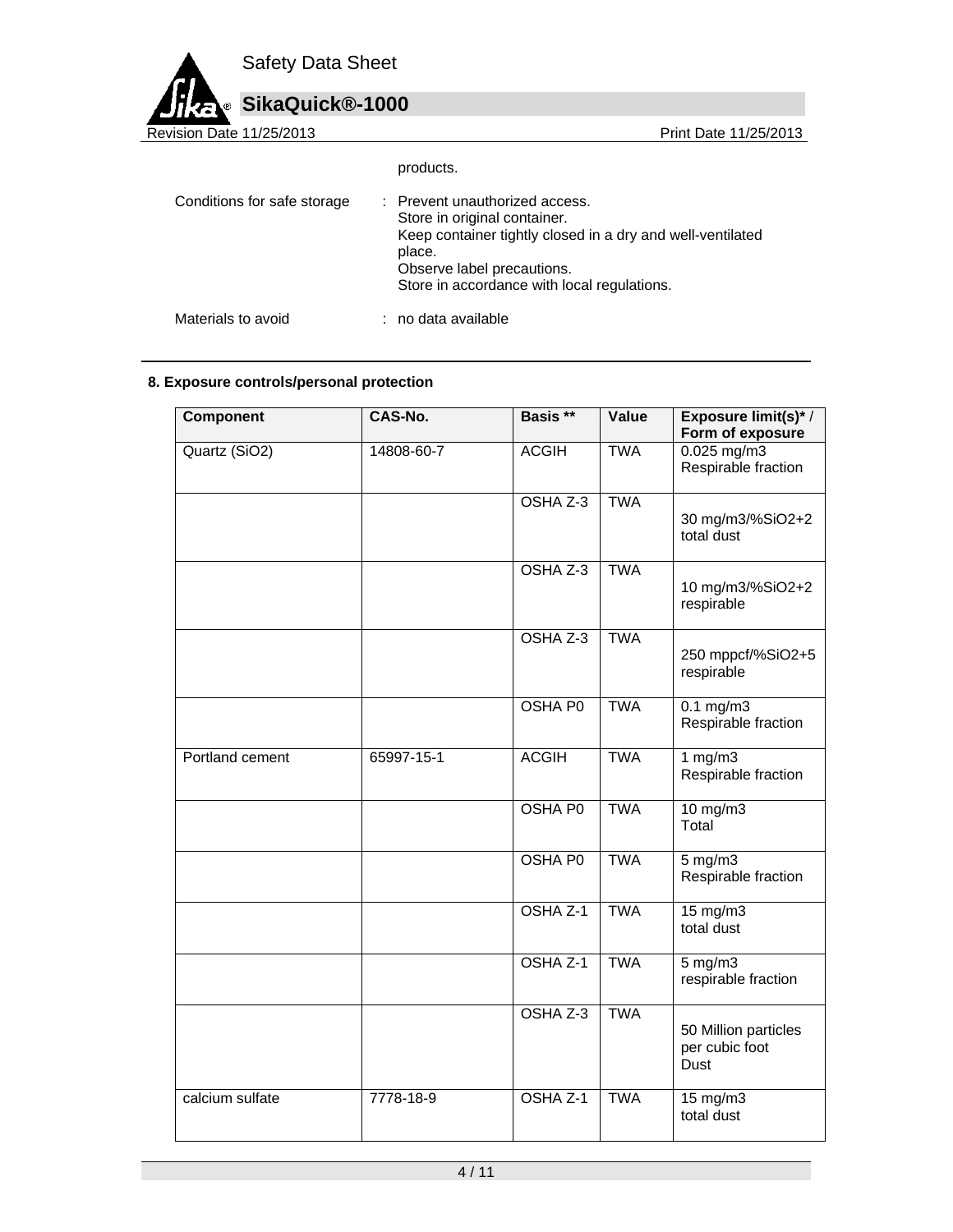

# products.

| Conditions for safe storage | : Prevent unauthorized access.<br>Store in original container.<br>Keep container tightly closed in a dry and well-ventilated<br>place.<br>Observe label precautions.<br>Store in accordance with local regulations. |
|-----------------------------|---------------------------------------------------------------------------------------------------------------------------------------------------------------------------------------------------------------------|
| Materials to avoid          | : no data available                                                                                                                                                                                                 |

# **8. Exposure controls/personal protection**

| <b>Component</b> | CAS-No.    | Basis **       | Value      | Exposure limit(s)*/<br>Form of exposure        |
|------------------|------------|----------------|------------|------------------------------------------------|
| Quartz (SiO2)    | 14808-60-7 | <b>ACGIH</b>   | <b>TWA</b> | $0.025$ mg/m3<br>Respirable fraction           |
|                  |            | OSHA Z-3       | <b>TWA</b> | 30 mg/m3/%SiO2+2<br>total dust                 |
|                  |            | OSHA Z-3       | <b>TWA</b> | 10 mg/m3/%SiO2+2<br>respirable                 |
|                  |            | OSHA Z-3       | <b>TWA</b> | 250 mppcf/%SiO2+5<br>respirable                |
|                  |            | OSHA P0        | <b>TWA</b> | $0.1$ mg/m3<br>Respirable fraction             |
| Portland cement  | 65997-15-1 | <b>ACGIH</b>   | <b>TWA</b> | 1 $mg/m3$<br>Respirable fraction               |
|                  |            | <b>OSHA P0</b> | <b>TWA</b> | $10$ mg/m $3$<br>Total                         |
|                  |            | <b>OSHA P0</b> | <b>TWA</b> | $5$ mg/m $3$<br>Respirable fraction            |
|                  |            | OSHA Z-1       | <b>TWA</b> | $15 \text{ mg/m}$<br>total dust                |
|                  |            | OSHA Z-1       | <b>TWA</b> | $5$ mg/m $3$<br>respirable fraction            |
|                  |            | OSHA Z-3       | <b>TWA</b> | 50 Million particles<br>per cubic foot<br>Dust |
| calcium sulfate  | 7778-18-9  | OSHA Z-1       | <b>TWA</b> | $15 \text{ mg/m}$<br>total dust                |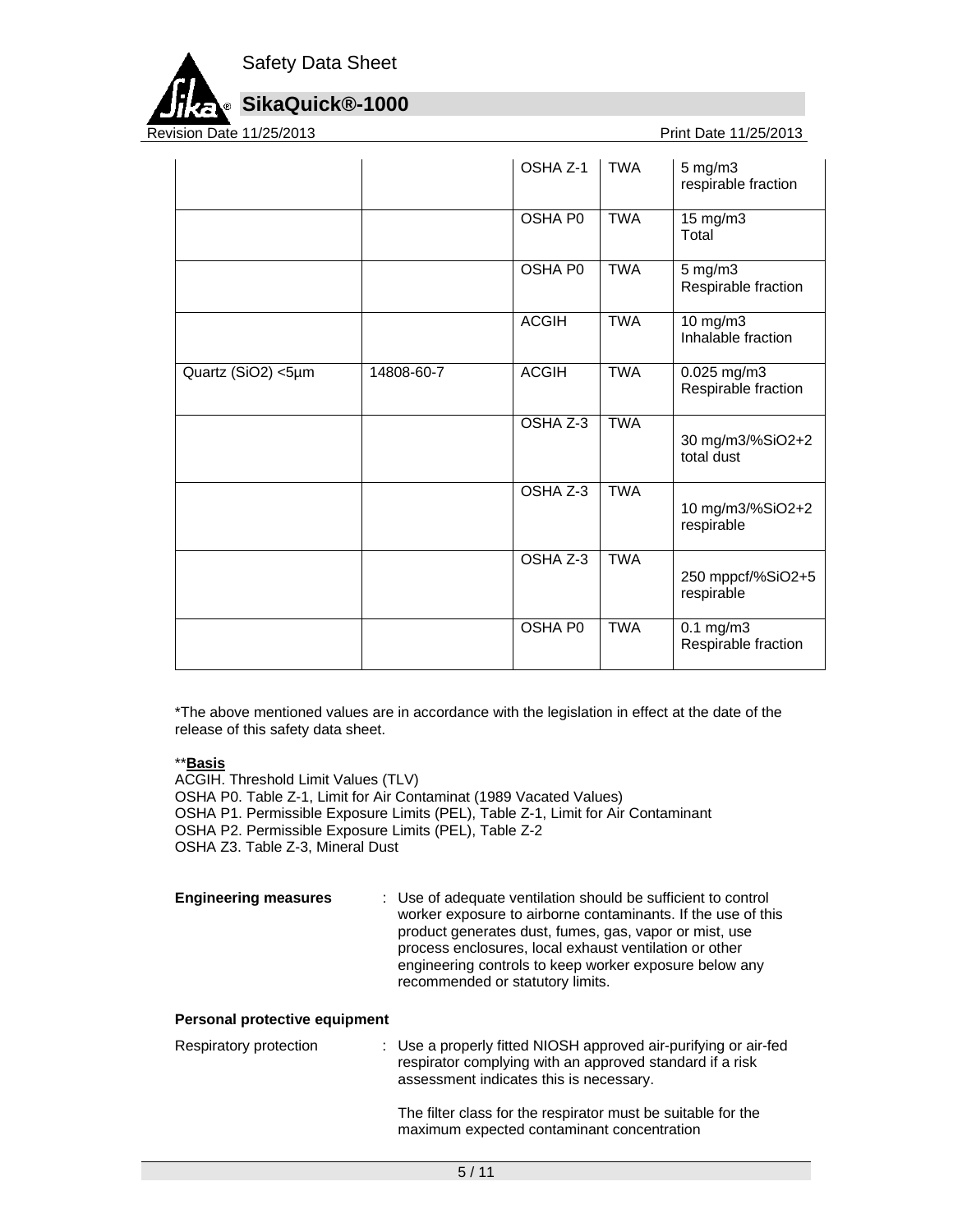

Revision Date 11/25/2013 **Print Date 11/25/2013** 

|                    |            | OSHA Z-1     | <b>TWA</b> | $5$ mg/m $3$<br>respirable fraction   |
|--------------------|------------|--------------|------------|---------------------------------------|
|                    |            | OSHA P0      | <b>TWA</b> | 15 mg/m3<br>Total                     |
|                    |            | OSHA P0      | <b>TWA</b> | 5 mg/m3<br>Respirable fraction        |
|                    |            | <b>ACGIH</b> | <b>TWA</b> | 10 mg/m3<br>Inhalable fraction        |
| Quartz (SiO2) <5µm | 14808-60-7 | <b>ACGIH</b> | <b>TWA</b> | 0.025 mg/m3<br>Respirable fraction    |
|                    |            | OSHA Z-3     | <b>TWA</b> | 30 mg/m3/%SiO2+2<br>total dust        |
|                    |            | OSHA Z-3     | <b>TWA</b> | 10 mg/m3/%SiO2+2<br>respirable        |
|                    |            | OSHA Z-3     | <b>TWA</b> | 250 mppcf/%SiO2+5<br>respirable       |
|                    |            | OSHA P0      | <b>TWA</b> | $0.1$ mg/m $3$<br>Respirable fraction |

\*The above mentioned values are in accordance with the legislation in effect at the date of the release of this safety data sheet.

#### \*\***Basis**

ACGIH. Threshold Limit Values (TLV) OSHA P0. Table Z-1, Limit for Air Contaminat (1989 Vacated Values) OSHA P1. Permissible Exposure Limits (PEL), Table Z-1, Limit for Air Contaminant OSHA P2. Permissible Exposure Limits (PEL), Table Z-2 OSHA Z3. Table Z-3, Mineral Dust

**Engineering measures** : Use of adequate ventilation should be sufficient to control worker exposure to airborne contaminants. If the use of this product generates dust, fumes, gas, vapor or mist, use process enclosures, local exhaust ventilation or other engineering controls to keep worker exposure below any recommended or statutory limits.

#### **Personal protective equipment**

| Respiratory protection | : Use a properly fitted NIOSH approved air-purifying or air-fed<br>respirator complying with an approved standard if a risk<br>assessment indicates this is necessary. |
|------------------------|------------------------------------------------------------------------------------------------------------------------------------------------------------------------|
|                        | The filter elece for the recoirctor must be quitable for the                                                                                                           |

The filter class for the respirator must be suitable for the maximum expected contaminant concentration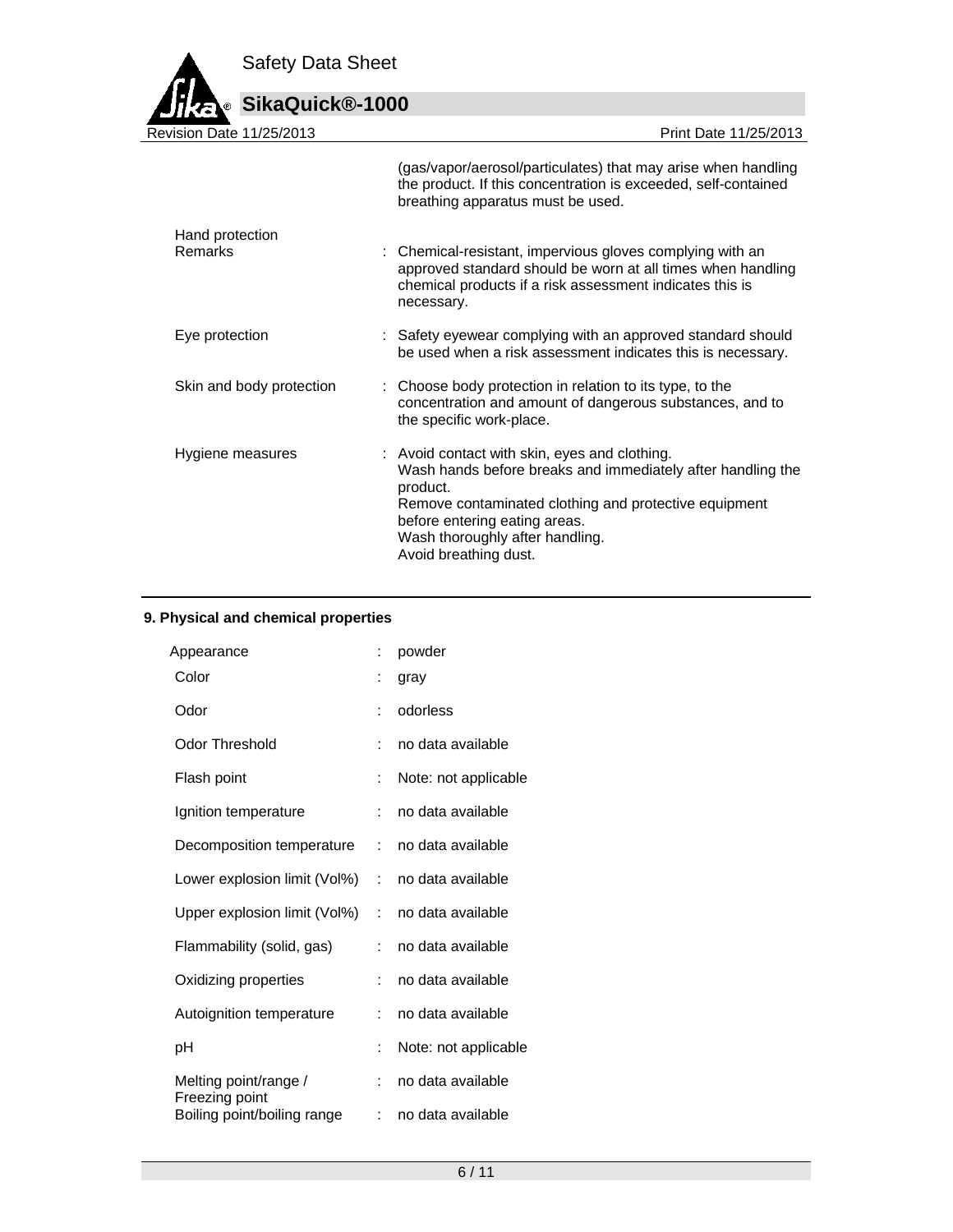

| Revision Date 11/25/2013          | Print Date 11/25/2013                                                                                                                                                                                                                                                          |
|-----------------------------------|--------------------------------------------------------------------------------------------------------------------------------------------------------------------------------------------------------------------------------------------------------------------------------|
|                                   | (gas/vapor/aerosol/particulates) that may arise when handling<br>the product. If this concentration is exceeded, self-contained<br>breathing apparatus must be used.                                                                                                           |
| Hand protection<br><b>Remarks</b> | : Chemical-resistant, impervious gloves complying with an<br>approved standard should be worn at all times when handling<br>chemical products if a risk assessment indicates this is<br>necessary.                                                                             |
| Eye protection                    | : Safety eyewear complying with an approved standard should<br>be used when a risk assessment indicates this is necessary.                                                                                                                                                     |
| Skin and body protection          | : Choose body protection in relation to its type, to the<br>concentration and amount of dangerous substances, and to<br>the specific work-place.                                                                                                                               |
| Hygiene measures                  | : Avoid contact with skin, eyes and clothing.<br>Wash hands before breaks and immediately after handling the<br>product.<br>Remove contaminated clothing and protective equipment<br>before entering eating areas.<br>Wash thoroughly after handling.<br>Avoid breathing dust. |

# **9. Physical and chemical properties**

| Appearance                              | ÷  | powder               |
|-----------------------------------------|----|----------------------|
| Color                                   | İ. | gray                 |
| Odor                                    | ÷  | odorless             |
| Odor Threshold                          | ÷  | no data available    |
| Flash point                             | ÷  | Note: not applicable |
| Ignition temperature                    | t. | no data available    |
| Decomposition temperature               | t. | no data available    |
| Lower explosion limit (Vol%)            | ÷. | no data available    |
| Upper explosion limit (Vol%)            | ÷. | no data available    |
| Flammability (solid, gas)               | ÷. | no data available    |
| Oxidizing properties                    | ÷. | no data available    |
| Autoignition temperature                | t. | no data available    |
| рH                                      | İ. | Note: not applicable |
| Melting point/range /<br>Freezing point | ÷. | no data available    |
| Boiling point/boiling range             | ÷. | no data available    |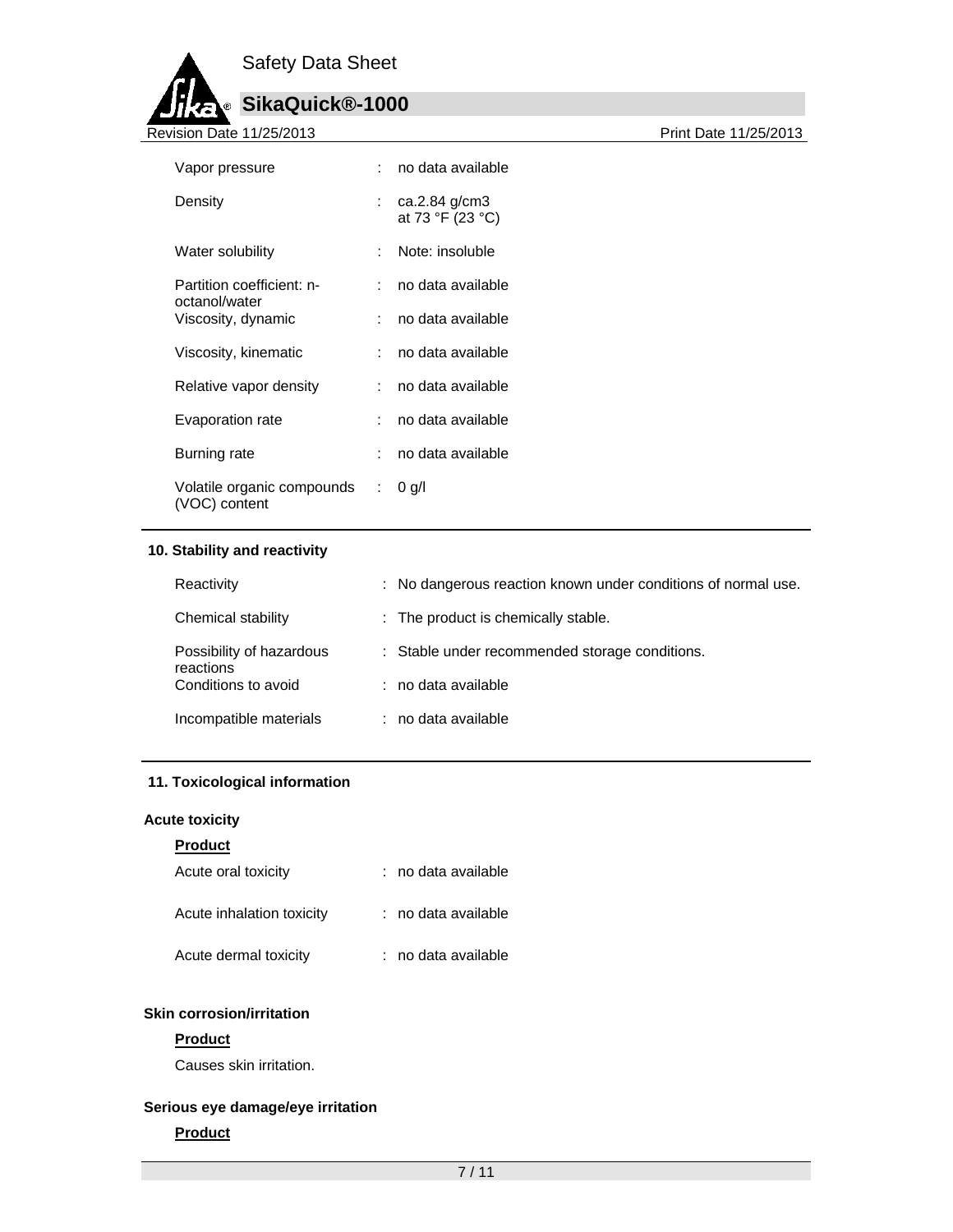

# **SikaQuick®-1000**

| <b>Revision Date 11/25/2013</b>             |    |                                     | Print Date 11/25/2013 |
|---------------------------------------------|----|-------------------------------------|-----------------------|
| Vapor pressure                              |    | no data available                   |                       |
| Density                                     | ÷  | ca.2.84 $g/cm3$<br>at 73 °F (23 °C) |                       |
| Water solubility                            |    | Note: insoluble                     |                       |
| Partition coefficient: n-                   |    | no data available                   |                       |
| octanol/water<br>Viscosity, dynamic         |    | no data available                   |                       |
| Viscosity, kinematic                        |    | : no data available                 |                       |
| Relative vapor density                      |    | : no data available                 |                       |
| Evaporation rate                            | ÷  | no data available                   |                       |
| Burning rate                                |    | no data available                   |                       |
| Volatile organic compounds<br>(VOC) content | ÷. | 0 g/l                               |                       |

#### **10. Stability and reactivity**

| Reactivity                            | : No dangerous reaction known under conditions of normal use. |
|---------------------------------------|---------------------------------------------------------------|
| Chemical stability                    | : The product is chemically stable.                           |
| Possibility of hazardous<br>reactions | : Stable under recommended storage conditions.                |
| Conditions to avoid                   | : no data available                                           |
| Incompatible materials                | : no data available                                           |

#### **11. Toxicological information**

## **Acute toxicity**

# **Product**

| Acute oral toxicity       | : no data available |
|---------------------------|---------------------|
| Acute inhalation toxicity | : no data available |
| Acute dermal toxicity     | : no data available |

# **Skin corrosion/irritation**

## **Product**

Causes skin irritation.

# **Serious eye damage/eye irritation**

## **Product**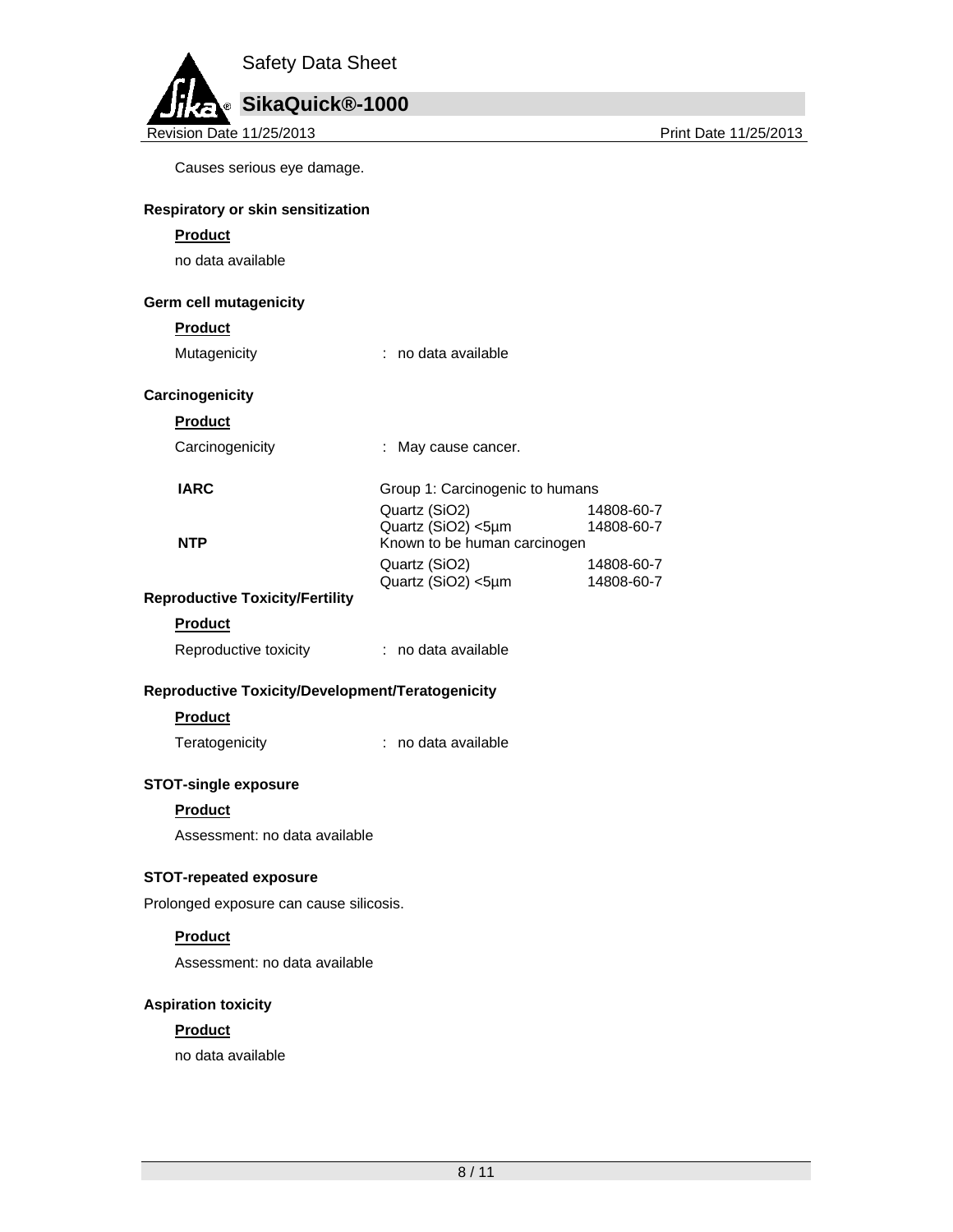

Causes serious eye damage.

## **Respiratory or skin sensitization**

# **Product**

no data available

#### **Germ cell mutagenicity**

#### **Product**

Mutagenicity **intervalle** : no data available

## **Carcinogenicity**

#### **Product**

Carcinogenicity : May cause cancer.

| <b>IARC</b> | Group 1: Carcinogenic to humans |            |  |  |
|-------------|---------------------------------|------------|--|--|
|             | Quartz (SiO2)                   | 14808-60-7 |  |  |
|             | Quartz (SiO2) <5µm              | 14808-60-7 |  |  |
| <b>NTP</b>  | Known to be human carcinogen    |            |  |  |
|             | Quartz (SiO2)                   | 14808-60-7 |  |  |
|             | Quartz (SiO2) <5µm              | 14808-60-7 |  |  |
|             |                                 |            |  |  |

#### **Reproductive Toxicity/Fertility**

#### **Product**

| Reproductive toxicity |  | no data available |
|-----------------------|--|-------------------|
|-----------------------|--|-------------------|

#### **Reproductive Toxicity/Development/Teratogenicity**

# **Product**

Teratogenicity : no data available

#### **STOT-single exposure**

**Product** 

Assessment: no data available

#### **STOT-repeated exposure**

Prolonged exposure can cause silicosis.

#### **Product**

Assessment: no data available

#### **Aspiration toxicity**

#### **Product**

no data available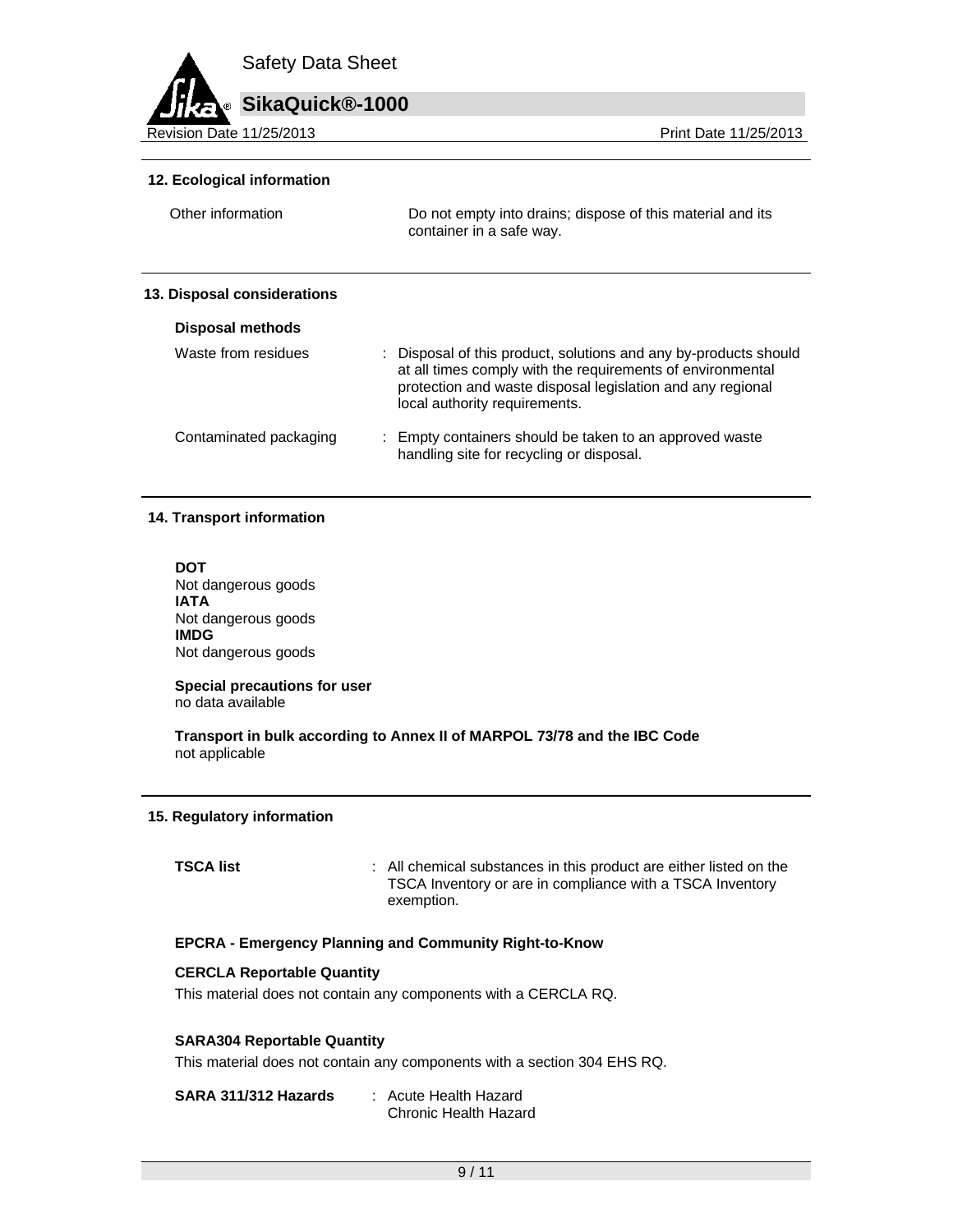

#### **12. Ecological information**

| Other information | Do not empty into drains; dispose of this material and its |
|-------------------|------------------------------------------------------------|
|                   | container in a safe way.                                   |

#### **13. Disposal considerations**

| <b>Disposal methods</b> |                                                                                                                                                                                                                               |
|-------------------------|-------------------------------------------------------------------------------------------------------------------------------------------------------------------------------------------------------------------------------|
| Waste from residues     | : Disposal of this product, solutions and any by-products should<br>at all times comply with the requirements of environmental<br>protection and waste disposal legislation and any regional<br>local authority requirements. |
| Contaminated packaging  | : Empty containers should be taken to an approved waste<br>handling site for recycling or disposal.                                                                                                                           |

#### **14. Transport information**

**DOT**  Not dangerous goods **IATA**  Not dangerous goods **IMDG**  Not dangerous goods

**Special precautions for user** no data available

**Transport in bulk according to Annex II of MARPOL 73/78 and the IBC Code**  not applicable

#### **15. Regulatory information**

**TSCA list EXECA list EXECA list EXECA list EXECA list EXECA list EXECA list EXECA list EXECA list EXECA list EXECA list EXECA list EXECA list** TSCA Inventory or are in compliance with a TSCA Inventory exemption.

#### **EPCRA - Emergency Planning and Community Right-to-Know**

#### **CERCLA Reportable Quantity**

This material does not contain any components with a CERCLA RQ.

#### **SARA304 Reportable Quantity**

This material does not contain any components with a section 304 EHS RQ.

**SARA 311/312 Hazards** : Acute Health Hazard Chronic Health Hazard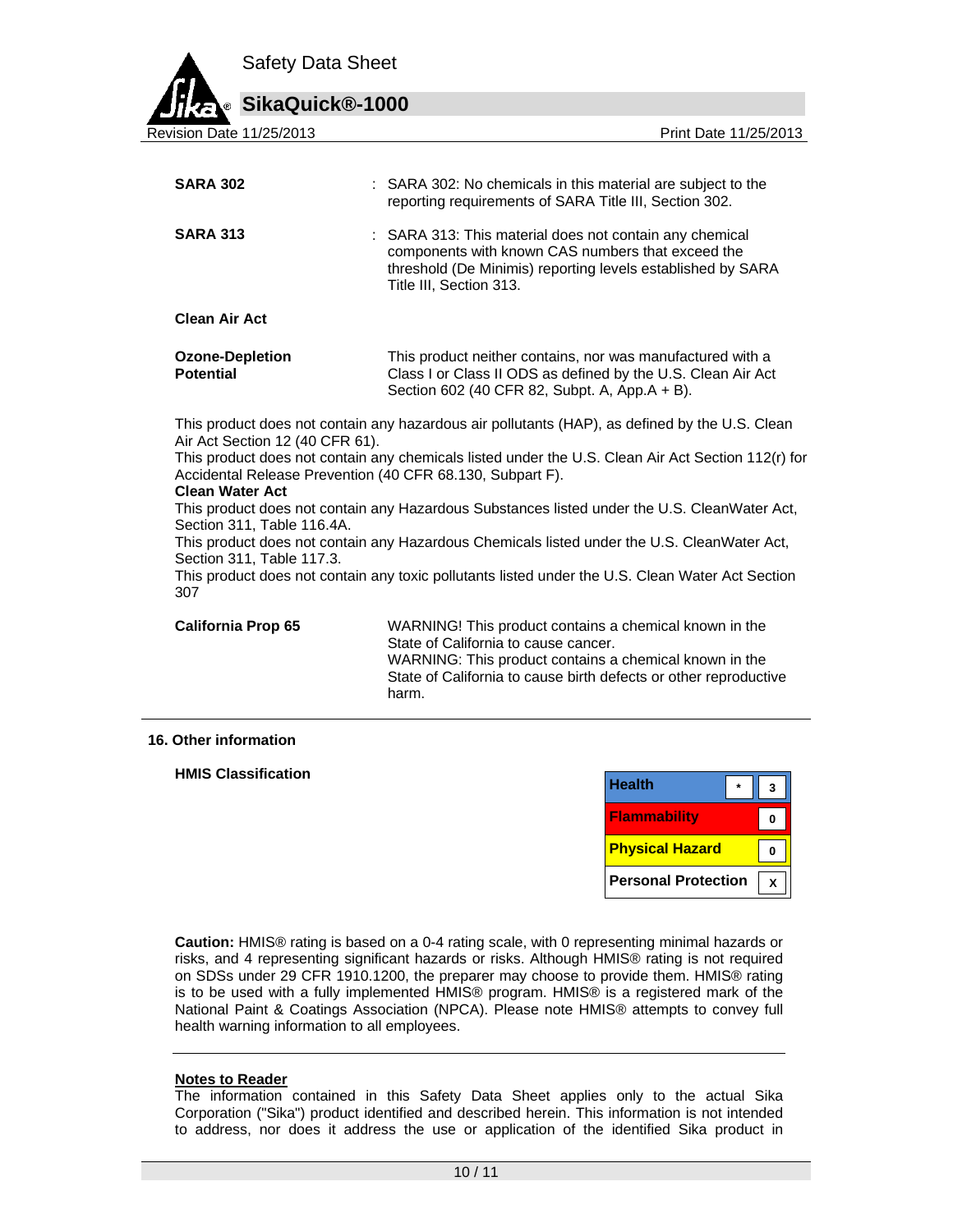

| $\frac{1}{2}$                                                                                                                                                   | 1 111 LUCC 1 1/20/2010                                                                                                                                                                                 |  |  |
|-----------------------------------------------------------------------------------------------------------------------------------------------------------------|--------------------------------------------------------------------------------------------------------------------------------------------------------------------------------------------------------|--|--|
|                                                                                                                                                                 |                                                                                                                                                                                                        |  |  |
| <b>SARA 302</b>                                                                                                                                                 | : SARA 302: No chemicals in this material are subject to the<br>reporting requirements of SARA Title III, Section 302.                                                                                 |  |  |
| <b>SARA 313</b>                                                                                                                                                 | : SARA 313: This material does not contain any chemical<br>components with known CAS numbers that exceed the<br>threshold (De Minimis) reporting levels established by SARA<br>Title III, Section 313. |  |  |
| <b>Clean Air Act</b>                                                                                                                                            |                                                                                                                                                                                                        |  |  |
| <b>Ozone-Depletion</b><br><b>Potential</b>                                                                                                                      | This product neither contains, nor was manufactured with a<br>Class I or Class II ODS as defined by the U.S. Clean Air Act<br>Section 602 (40 CFR 82, Subpt. A, App.A + B).                            |  |  |
| This product does not contain any hazardous air pollutants (HAP), as defined by the U.S. Clean<br>Air Act Section 12 (40 CFR 61).                               |                                                                                                                                                                                                        |  |  |
| This product does not contain any chemicals listed under the U.S. Clean Air Act Section 112(r) for<br>Accidental Release Prevention (40 CFR 68.130, Subpart F). |                                                                                                                                                                                                        |  |  |
| <b>Clean Water Act</b><br>Section 311, Table 116.4A.                                                                                                            | This product does not contain any Hazardous Substances listed under the U.S. CleanWater Act,                                                                                                           |  |  |
| Section 311, Table 117.3.                                                                                                                                       | This product does not contain any Hazardous Chemicals listed under the U.S. CleanWater Act,                                                                                                            |  |  |
| 307                                                                                                                                                             | This product does not contain any toxic pollutants listed under the U.S. Clean Water Act Section                                                                                                       |  |  |
| <b>California Prop 65</b>                                                                                                                                       | WARNING! This product contains a chemical known in the<br>State of California to cause cancer.                                                                                                         |  |  |
|                                                                                                                                                                 | WARNING: This product contains a chemical known in the<br>State of California to cause birth defects or other reproductive<br>harm.                                                                    |  |  |

#### **16. Other information**

**HMIS Classification** 

| <b>Health</b>              |   |
|----------------------------|---|
| <b>Flammability</b>        |   |
| <b>Physical Hazard</b>     | n |
| <b>Personal Protection</b> |   |

**Caution:** HMIS® rating is based on a 0-4 rating scale, with 0 representing minimal hazards or risks, and 4 representing significant hazards or risks. Although HMIS® rating is not required on SDSs under 29 CFR 1910.1200, the preparer may choose to provide them. HMIS® rating is to be used with a fully implemented HMIS® program. HMIS® is a registered mark of the National Paint & Coatings Association (NPCA). Please note HMIS® attempts to convey full health warning information to all employees.

## **Notes to Reader**

The information contained in this Safety Data Sheet applies only to the actual Sika Corporation ("Sika") product identified and described herein. This information is not intended to address, nor does it address the use or application of the identified Sika product in